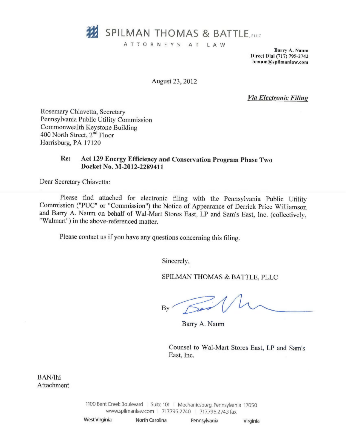

ATTORNEYS AT LAW

Barry A. Xaum Direct Dial (717) 795-2742 bnaum@spilmanlaw.com

August 23, 2012

Via Electronic Filing

Rosemary Chiavetta, Secretary Pennsylvania Public Utility Commission Commonwealth Keystone Building 400 North Street, 2<sup>nd</sup> Floor Harrisburg, PA 17120

## Re: Act 129 Energy Kfficiency and Conservation Program Phase Two Docket No. M-2D12-2289411

Dear Secretary Chiavetta:

Please find attached for electronic filing with the Pennsylvania Public Utility Commission ("PUC" or "Commission") the Notice of Appearance of Derrick Price Williamson and Barry A. Naum on behalf of Wal-Mart Stores East, LP and Sam's East, Inc. (collectively, "Walmart") in the above-referenced matter.

Please contact us if you have any questions concerning this filing.

Sincerely,

SPILMAN THOMAS & BATTLE, PLLC

 $By'$ 

Barry A. Naum

Counsel to Wal-Mart Stores East, LP and Sam's East, Inc.

BAN/Ihi Attachment

> 1100 Bent Creek Boulevard | Suite 101 | Mechanicsburg, Pennsylvania 17050 www.spilmanlaw.com | 717.795.2740 | 717.795.2743 fax

| West Virginia | North Carolina | Pennsylvania | Virginia |
|---------------|----------------|--------------|----------|
|               |                |              |          |